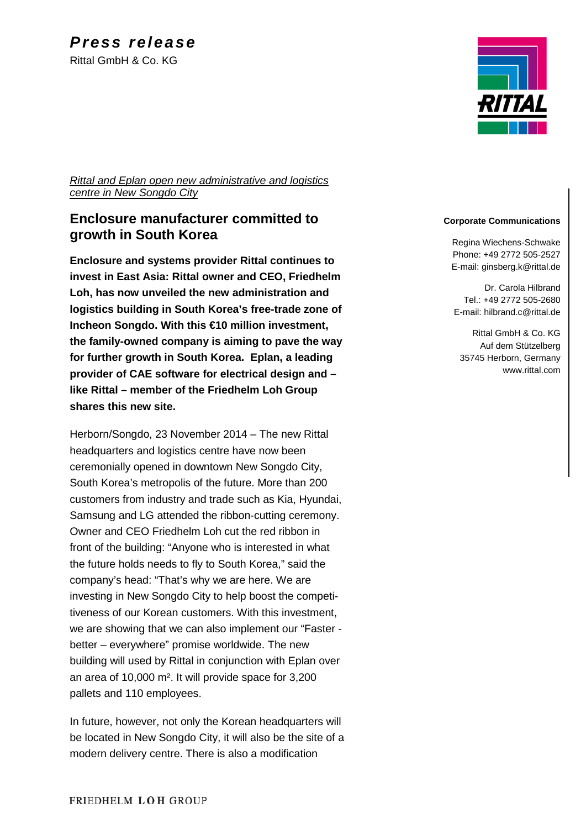

*Rittal and Eplan open new administrative and logistics centre in New Songdo City*

### **Enclosure manufacturer committed to growth in South Korea**

**Enclosure and systems provider Rittal continues to invest in East Asia: Rittal owner and CEO, Friedhelm Loh, has now unveiled the new administration and logistics building in South Korea's free-trade zone of Incheon Songdo. With this €10 million investment, the family-owned company is aiming to pave the way for further growth in South Korea. Eplan, a leading provider of CAE software for electrical design and – like Rittal – member of the Friedhelm Loh Group shares this new site.**

Herborn/Songdo, 23 November 2014 – The new Rittal headquarters and logistics centre have now been ceremonially opened in downtown New Songdo City, South Korea's metropolis of the future. More than 200 customers from industry and trade such as Kia, Hyundai, Samsung and LG attended the ribbon-cutting ceremony. Owner and CEO Friedhelm Loh cut the red ribbon in front of the building: "Anyone who is interested in what the future holds needs to fly to South Korea," said the company's head: "That's why we are here. We are investing in New Songdo City to help boost the competitiveness of our Korean customers. With this investment, we are showing that we can also implement our "Faster better – everywhere" promise worldwide. The new building will used by Rittal in conjunction with Eplan over an area of 10,000 m². It will provide space for 3,200 pallets and 110 employees.

In future, however, not only the Korean headquarters will be located in New Songdo City, it will also be the site of a modern delivery centre. There is also a modification

#### **Corporate Communications**

Regina Wiechens-Schwake Phone: +49 2772 505-2527 E-mail: ginsberg.k@rittal.de

Dr. Carola Hilbrand Tel.: +49 2772 505-2680 E-mail: hilbrand.c@rittal.de

Rittal GmbH & Co. KG Auf dem Stützelberg 35745 Herborn, Germany www.rittal.com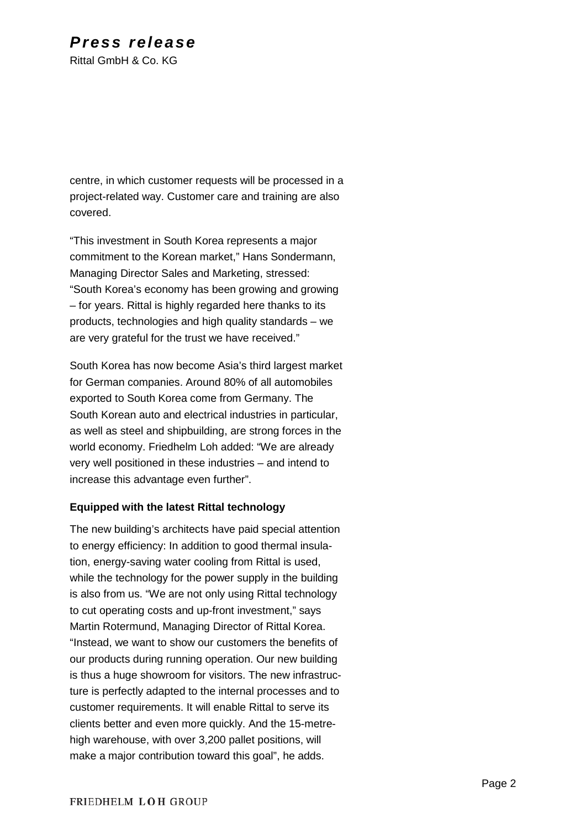# *Press release*

Rittal GmbH & Co. KG

centre, in which customer requests will be processed in a project-related way. Customer care and training are also covered.

"This investment in South Korea represents a major commitment to the Korean market," Hans Sondermann, Managing Director Sales and Marketing, stressed: "South Korea's economy has been growing and growing – for years. Rittal is highly regarded here thanks to its products, technologies and high quality standards – we are very grateful for the trust we have received."

South Korea has now become Asia's third largest market for German companies. Around 80% of all automobiles exported to South Korea come from Germany. The South Korean auto and electrical industries in particular, as well as steel and shipbuilding, are strong forces in the world economy. Friedhelm Loh added: "We are already very well positioned in these industries – and intend to increase this advantage even further".

### **Equipped with the latest Rittal technology**

The new building's architects have paid special attention to energy efficiency: In addition to good thermal insulation, energy-saving water cooling from Rittal is used, while the technology for the power supply in the building is also from us. "We are not only using Rittal technology to cut operating costs and up-front investment," says Martin Rotermund, Managing Director of Rittal Korea. "Instead, we want to show our customers the benefits of our products during running operation. Our new building is thus a huge showroom for visitors. The new infrastructure is perfectly adapted to the internal processes and to customer requirements. It will enable Rittal to serve its clients better and even more quickly. And the 15-metrehigh warehouse, with over 3,200 pallet positions, will make a major contribution toward this goal", he adds.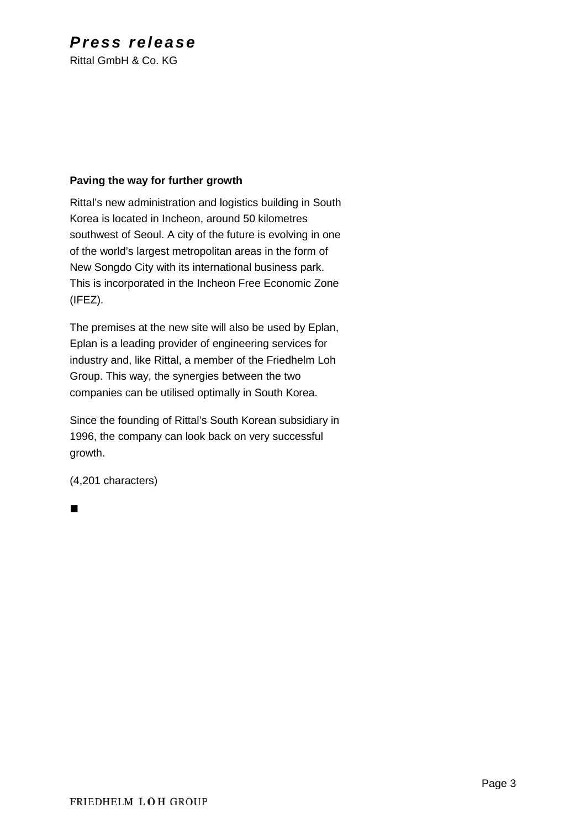## *Press release*

Rittal GmbH & Co. KG

### **Paving the way for further growth**

Rittal's new administration and logistics building in South Korea is located in Incheon, around 50 kilometres southwest of Seoul. A city of the future is evolving in one of the world's largest metropolitan areas in the form of New Songdo City with its international business park. This is incorporated in the Incheon Free Economic Zone (IFEZ).

The premises at the new site will also be used by Eplan, Eplan is a leading provider of engineering services for industry and, like Rittal, a member of the Friedhelm Loh Group. This way, the synergies between the two companies can be utilised optimally in South Korea.

Since the founding of Rittal's South Korean subsidiary in 1996, the company can look back on very successful growth.

(4,201 characters)

 $\blacksquare$